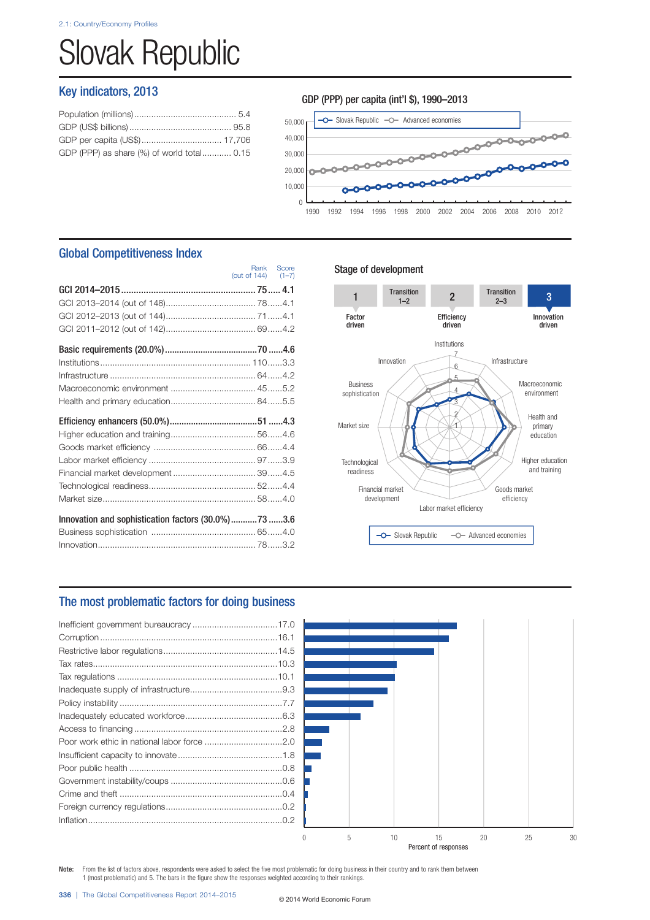# Slovak Republic

# Key indicators, 2013

| GDP (PPP) as share (%) of world total 0.15 |  |
|--------------------------------------------|--|
|                                            |  |

## GDP (PPP) per capita (int'l \$), 1990–2013



# Global Competitiveness Index

|                                                     | (out of $144$ ) $(1-7)$ | Rank Score |
|-----------------------------------------------------|-------------------------|------------|
|                                                     |                         |            |
|                                                     |                         |            |
|                                                     |                         |            |
|                                                     |                         |            |
|                                                     |                         |            |
|                                                     |                         |            |
|                                                     |                         |            |
|                                                     |                         |            |
|                                                     |                         |            |
|                                                     |                         |            |
|                                                     |                         |            |
|                                                     |                         |            |
|                                                     |                         |            |
| Financial market development  394.5                 |                         |            |
|                                                     |                         |            |
|                                                     |                         |            |
| Innovation and sophistication factors (30.0%)73 3.6 |                         |            |
|                                                     |                         |            |
|                                                     |                         |            |

## Stage of development



# The most problematic factors for doing business



Note: From the list of factors above, respondents were asked to select the five most problematic for doing business in their country and to rank them between 1 (most problematic) and 5. The bars in the figure show the responses weighted according to their rankings.